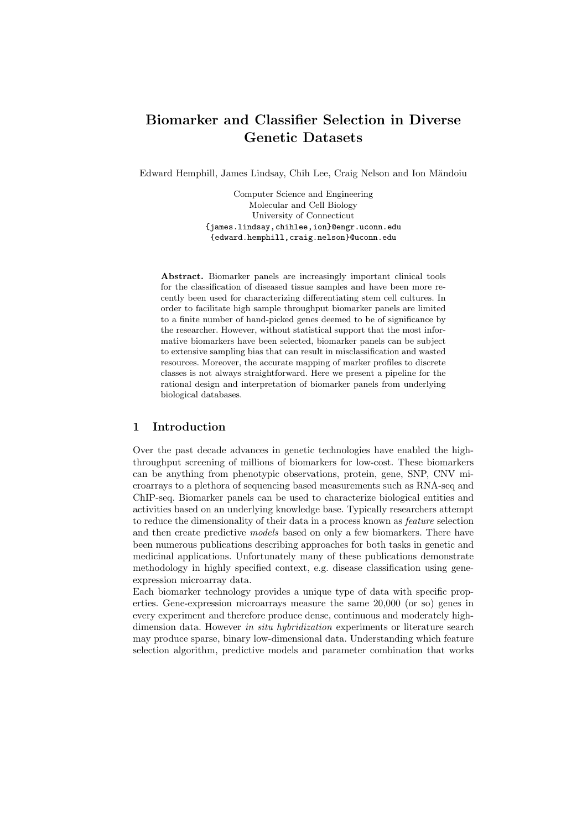# Biomarker and Classifier Selection in Diverse Genetic Datasets

Edward Hemphill, James Lindsay, Chih Lee, Craig Nelson and Ion Măndoiu

Computer Science and Engineering Molecular and Cell Biology University of Connecticut {james.lindsay,chihlee,ion}@engr.uconn.edu {edward.hemphill,craig.nelson}@uconn.edu

Abstract. Biomarker panels are increasingly important clinical tools for the classification of diseased tissue samples and have been more recently been used for characterizing differentiating stem cell cultures. In order to facilitate high sample throughput biomarker panels are limited to a finite number of hand-picked genes deemed to be of significance by the researcher. However, without statistical support that the most informative biomarkers have been selected, biomarker panels can be subject to extensive sampling bias that can result in misclassification and wasted resources. Moreover, the accurate mapping of marker profiles to discrete classes is not always straightforward. Here we present a pipeline for the rational design and interpretation of biomarker panels from underlying biological databases.

# 1 Introduction

Over the past decade advances in genetic technologies have enabled the highthroughput screening of millions of biomarkers for low-cost. These biomarkers can be anything from phenotypic observations, protein, gene, SNP, CNV microarrays to a plethora of sequencing based measurements such as RNA-seq and ChIP-seq. Biomarker panels can be used to characterize biological entities and activities based on an underlying knowledge base. Typically researchers attempt to reduce the dimensionality of their data in a process known as feature selection and then create predictive models based on only a few biomarkers. There have been numerous publications describing approaches for both tasks in genetic and medicinal applications. Unfortunately many of these publications demonstrate methodology in highly specified context, e.g. disease classification using geneexpression microarray data.

Each biomarker technology provides a unique type of data with specific properties. Gene-expression microarrays measure the same 20,000 (or so) genes in every experiment and therefore produce dense, continuous and moderately highdimension data. However in situ hybridization experiments or literature search may produce sparse, binary low-dimensional data. Understanding which feature selection algorithm, predictive models and parameter combination that works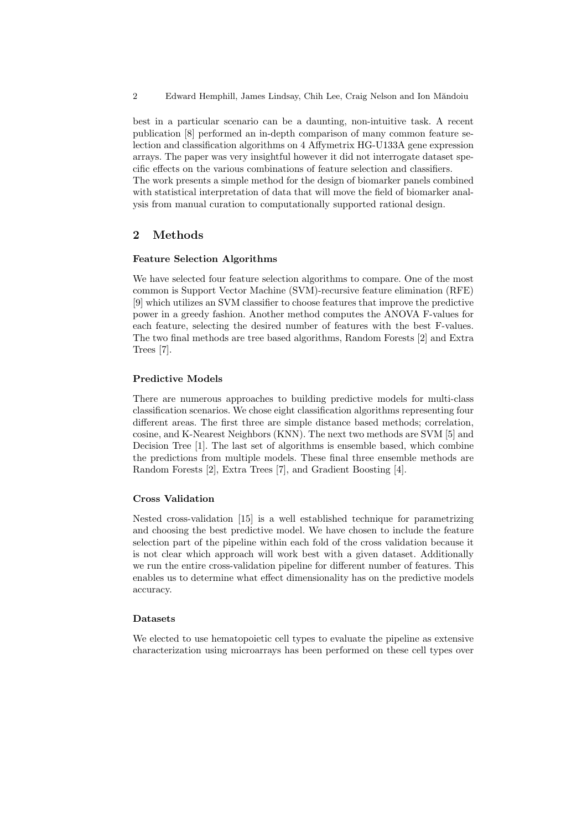2 Edward Hemphill, James Lindsay, Chih Lee, Craig Nelson and Ion Măndoiu

best in a particular scenario can be a daunting, non-intuitive task. A recent publication [8] performed an in-depth comparison of many common feature selection and classification algorithms on 4 Affymetrix HG-U133A gene expression arrays. The paper was very insightful however it did not interrogate dataset specific effects on the various combinations of feature selection and classifiers. The work presents a simple method for the design of biomarker panels combined with statistical interpretation of data that will move the field of biomarker analysis from manual curation to computationally supported rational design.

# 2 Methods

## Feature Selection Algorithms

We have selected four feature selection algorithms to compare. One of the most common is Support Vector Machine (SVM)-recursive feature elimination (RFE) [9] which utilizes an SVM classifier to choose features that improve the predictive power in a greedy fashion. Another method computes the ANOVA F-values for each feature, selecting the desired number of features with the best F-values. The two final methods are tree based algorithms, Random Forests [2] and Extra Trees [7].

#### Predictive Models

There are numerous approaches to building predictive models for multi-class classification scenarios. We chose eight classification algorithms representing four different areas. The first three are simple distance based methods; correlation, cosine, and K-Nearest Neighbors (KNN). The next two methods are SVM [5] and Decision Tree [1]. The last set of algorithms is ensemble based, which combine the predictions from multiple models. These final three ensemble methods are Random Forests [2], Extra Trees [7], and Gradient Boosting [4].

#### Cross Validation

Nested cross-validation [15] is a well established technique for parametrizing and choosing the best predictive model. We have chosen to include the feature selection part of the pipeline within each fold of the cross validation because it is not clear which approach will work best with a given dataset. Additionally we run the entire cross-validation pipeline for different number of features. This enables us to determine what effect dimensionality has on the predictive models accuracy.

## Datasets

We elected to use hematopoietic cell types to evaluate the pipeline as extensive characterization using microarrays has been performed on these cell types over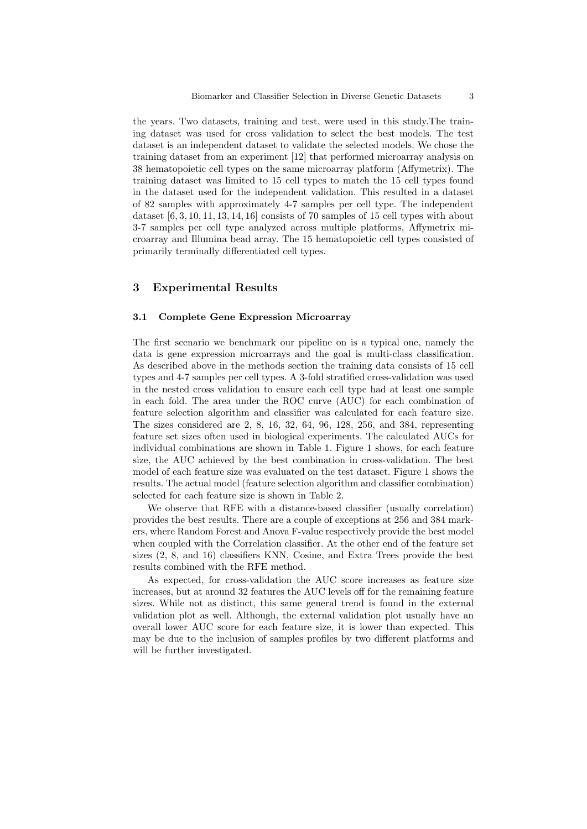the years. Two datasets, training and test, were used in this study.The training dataset was used for cross validation to select the best models. The test dataset is an independent dataset to validate the selected models. We chose the training dataset from an experiment [12] that performed microarray analysis on 38 hematopoietic cell types on the same microarray platform (Affymetrix). The training dataset was limited to 15 cell types to match the 15 cell types found in the dataset used for the independent validation. This resulted in a dataset of 82 samples with approximately 4-7 samples per cell type. The independent dataset  $[6, 3, 10, 11, 13, 14, 16]$  consists of 70 samples of 15 cell types with about 3-7 samples per cell type analyzed across multiple platforms, Affymetrix microarray and Illumina bead array. The 15 hematopoietic cell types consisted of primarily terminally differentiated cell types.

## 3 Experimental Results

## 3.1 Complete Gene Expression Microarray

The first scenario we benchmark our pipeline on is a typical one, namely the data is gene expression microarrays and the goal is multi-class classification. As described above in the methods section the training data consists of 15 cell types and 4-7 samples per cell types. A 3-fold stratified cross-validation was used in the nested cross validation to ensure each cell type had at least one sample in each fold. The area under the ROC curve (AUC) for each combination of feature selection algorithm and classifier was calculated for each feature size. The sizes considered are 2, 8, 16, 32, 64, 96, 128, 256, and 384, representing feature set sizes often used in biological experiments. The calculated AUCs for individual combinations are shown in Table 1. Figure 1 shows, for each feature size, the AUC achieved by the best combination in cross-validation. The best model of each feature size was evaluated on the test dataset. Figure 1 shows the results. The actual model (feature selection algorithm and classifier combination) selected for each feature size is shown in Table 2.

We observe that RFE with a distance-based classifier (usually correlation) provides the best results. There are a couple of exceptions at 256 and 384 markers, where Random Forest and Anova F-value respectively provide the best model when coupled with the Correlation classifier. At the other end of the feature set sizes (2, 8, and 16) classifiers KNN, Cosine, and Extra Trees provide the best results combined with the RFE method.

As expected, for cross-validation the AUC score increases as feature size increases, but at around 32 features the AUC levels off for the remaining feature sizes. While not as distinct, this same general trend is found in the external validation plot as well. Although, the external validation plot usually have an overall lower AUC score for each feature size, it is lower than expected. This may be due to the inclusion of samples profiles by two different platforms and will be further investigated.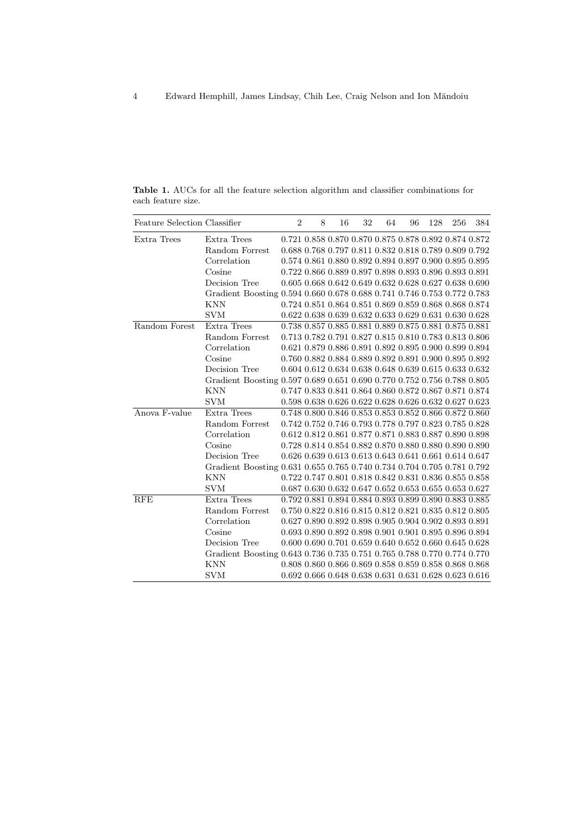| <b>Feature Selection Classifier</b> |                                                                         | $\overline{2}$ | 8 | 16 | 32 | 64 | 96 | 128 | 256                                                   | 384 |
|-------------------------------------|-------------------------------------------------------------------------|----------------|---|----|----|----|----|-----|-------------------------------------------------------|-----|
| Extra Trees                         | Extra Trees                                                             |                |   |    |    |    |    |     | 0.721 0.858 0.870 0.870 0.875 0.878 0.892 0.874 0.872 |     |
|                                     | Random Forrest                                                          |                |   |    |    |    |    |     | 0.688 0.768 0.797 0.811 0.832 0.818 0.789 0.809 0.792 |     |
|                                     | Correlation                                                             |                |   |    |    |    |    |     | 0.574 0.861 0.880 0.892 0.894 0.897 0.900 0.895 0.895 |     |
|                                     | Cosine                                                                  |                |   |    |    |    |    |     | 0.722 0.866 0.889 0.897 0.898 0.893 0.896 0.893 0.891 |     |
|                                     | Decision Tree                                                           |                |   |    |    |    |    |     | 0.605 0.668 0.642 0.649 0.632 0.628 0.627 0.638 0.690 |     |
|                                     | Gradient Boosting 0.594 0.660 0.678 0.688 0.741 0.746 0.753 0.772 0.783 |                |   |    |    |    |    |     |                                                       |     |
|                                     | <b>KNN</b>                                                              |                |   |    |    |    |    |     | 0.724 0.851 0.864 0.851 0.869 0.859 0.868 0.868 0.874 |     |
|                                     | <b>SVM</b>                                                              |                |   |    |    |    |    |     | 0.622 0.638 0.639 0.632 0.633 0.629 0.631 0.630 0.628 |     |
| Random Forest                       | Extra Trees                                                             |                |   |    |    |    |    |     | 0.738 0.857 0.885 0.881 0.889 0.875 0.881 0.875 0.881 |     |
|                                     | Random Forrest                                                          |                |   |    |    |    |    |     | 0.713 0.782 0.791 0.827 0.815 0.810 0.783 0.813 0.806 |     |
|                                     | Correlation                                                             |                |   |    |    |    |    |     | 0.621 0.879 0.886 0.891 0.892 0.895 0.900 0.899 0.894 |     |
|                                     | Cosine                                                                  |                |   |    |    |    |    |     | 0.760 0.882 0.884 0.889 0.892 0.891 0.900 0.895 0.892 |     |
|                                     | Decision Tree                                                           |                |   |    |    |    |    |     | 0.604 0.612 0.634 0.638 0.648 0.639 0.615 0.633 0.632 |     |
|                                     | Gradient Boosting 0.597 0.689 0.651 0.690 0.770 0.752 0.756 0.788 0.805 |                |   |    |    |    |    |     |                                                       |     |
|                                     | KNN                                                                     |                |   |    |    |    |    |     | 0.747 0.833 0.841 0.864 0.860 0.872 0.867 0.871 0.874 |     |
|                                     | <b>SVM</b>                                                              |                |   |    |    |    |    |     | 0.598 0.638 0.626 0.622 0.628 0.626 0.632 0.627 0.623 |     |
| Anova F-value                       | Extra Trees                                                             |                |   |    |    |    |    |     | 0.748 0.800 0.846 0.853 0.853 0.852 0.866 0.872 0.860 |     |
|                                     | Random Forrest                                                          |                |   |    |    |    |    |     | 0.742 0.752 0.746 0.793 0.778 0.797 0.823 0.785 0.828 |     |
|                                     | Correlation                                                             |                |   |    |    |    |    |     | 0.612 0.812 0.861 0.877 0.871 0.883 0.887 0.890 0.898 |     |
|                                     | Cosine                                                                  |                |   |    |    |    |    |     | 0.728 0.814 0.854 0.882 0.870 0.880 0.880 0.890 0.890 |     |
|                                     | Decision Tree                                                           |                |   |    |    |    |    |     | 0.626 0.639 0.613 0.613 0.643 0.641 0.661 0.614 0.647 |     |
|                                     | Gradient Boosting 0.631 0.655 0.765 0.740 0.734 0.704 0.705 0.781 0.792 |                |   |    |    |    |    |     |                                                       |     |
|                                     | <b>KNN</b>                                                              |                |   |    |    |    |    |     | 0.722 0.747 0.801 0.818 0.842 0.831 0.836 0.855 0.858 |     |
|                                     | <b>SVM</b>                                                              |                |   |    |    |    |    |     | 0.687 0.630 0.632 0.647 0.652 0.653 0.655 0.653 0.627 |     |
| <b>RFE</b>                          | Extra Trees                                                             |                |   |    |    |    |    |     | 0.792 0.881 0.894 0.884 0.893 0.899 0.890 0.883 0.885 |     |
|                                     | Random Forrest                                                          |                |   |    |    |    |    |     | 0.750 0.822 0.816 0.815 0.812 0.821 0.835 0.812 0.805 |     |
|                                     | Correlation                                                             |                |   |    |    |    |    |     | 0.627 0.890 0.892 0.898 0.905 0.904 0.902 0.893 0.891 |     |
|                                     | Cosine                                                                  |                |   |    |    |    |    |     | 0.693 0.890 0.892 0.898 0.901 0.901 0.895 0.896 0.894 |     |
|                                     | Decision Tree                                                           |                |   |    |    |    |    |     | 0.600 0.690 0.701 0.659 0.640 0.652 0.660 0.645 0.628 |     |
|                                     | Gradient Boosting 0.643 0.736 0.735 0.751 0.765 0.788 0.770 0.774 0.770 |                |   |    |    |    |    |     |                                                       |     |
|                                     | <b>KNN</b>                                                              |                |   |    |    |    |    |     | 0.808 0.860 0.866 0.869 0.858 0.859 0.858 0.868 0.868 |     |
|                                     | <b>SVM</b>                                                              |                |   |    |    |    |    |     | 0.692 0.666 0.648 0.638 0.631 0.631 0.628 0.623 0.616 |     |

Table 1. AUCs for all the feature selection algorithm and classifier combinations for each feature size.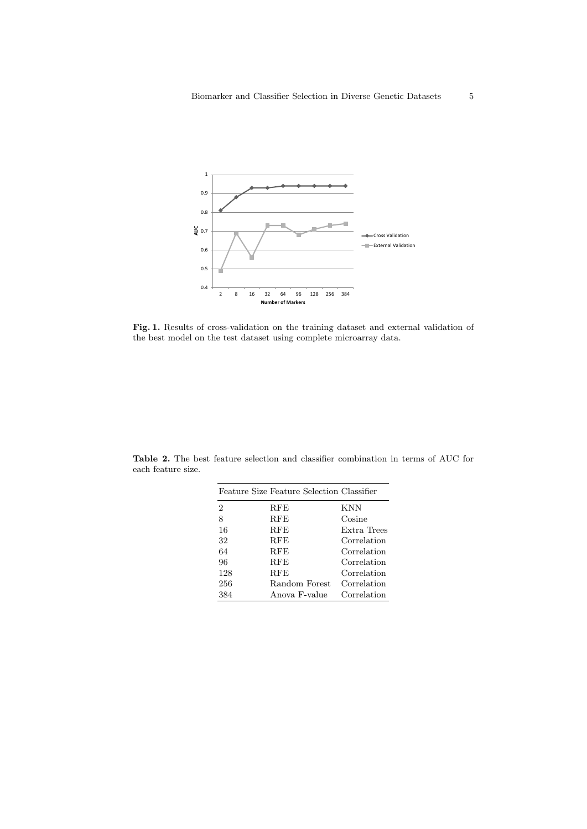

Fig. 1. Results of cross-validation on the training dataset and external validation of the best model on the test dataset using complete microarray data.

| each feature size. |                                           |  |
|--------------------|-------------------------------------------|--|
|                    | Feature Size Feature Selection Classifier |  |

Table 2. The best feature selection and classifier combination in terms of AUC for

|                | Feature Size Feature Selection Classifier |             |
|----------------|-------------------------------------------|-------------|
| $\overline{2}$ | $_{\rm{RFE}}$                             | <b>KNN</b>  |
| 8              | $_{\rm{RFE}}$                             | Cosine      |
| 16             | RFE                                       | Extra Trees |
| 32             | RFE                                       | Correlation |
| 64             | <b>RFE</b>                                | Correlation |
| 96             | <b>RFE</b>                                | Correlation |
| 128            | <b>RFE</b>                                | Correlation |
| 256            | Random Forest                             | Correlation |
| 384            | Anova F-value                             | Correlation |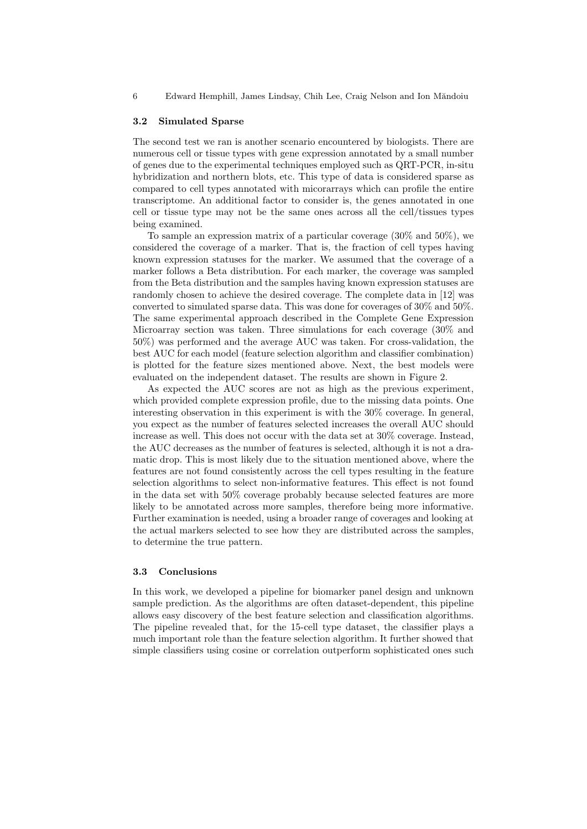6 Edward Hemphill, James Lindsay, Chih Lee, Craig Nelson and Ion Măndoiu

#### 3.2 Simulated Sparse

The second test we ran is another scenario encountered by biologists. There are numerous cell or tissue types with gene expression annotated by a small number of genes due to the experimental techniques employed such as QRT-PCR, in-situ hybridization and northern blots, etc. This type of data is considered sparse as compared to cell types annotated with micorarrays which can profile the entire transcriptome. An additional factor to consider is, the genes annotated in one cell or tissue type may not be the same ones across all the cell/tissues types being examined.

To sample an expression matrix of a particular coverage (30% and 50%), we considered the coverage of a marker. That is, the fraction of cell types having known expression statuses for the marker. We assumed that the coverage of a marker follows a Beta distribution. For each marker, the coverage was sampled from the Beta distribution and the samples having known expression statuses are randomly chosen to achieve the desired coverage. The complete data in [12] was converted to simulated sparse data. This was done for coverages of 30% and 50%. The same experimental approach described in the Complete Gene Expression Microarray section was taken. Three simulations for each coverage (30% and 50%) was performed and the average AUC was taken. For cross-validation, the best AUC for each model (feature selection algorithm and classifier combination) is plotted for the feature sizes mentioned above. Next, the best models were evaluated on the independent dataset. The results are shown in Figure 2.

As expected the AUC scores are not as high as the previous experiment, which provided complete expression profile, due to the missing data points. One interesting observation in this experiment is with the 30% coverage. In general, you expect as the number of features selected increases the overall AUC should increase as well. This does not occur with the data set at 30% coverage. Instead, the AUC decreases as the number of features is selected, although it is not a dramatic drop. This is most likely due to the situation mentioned above, where the features are not found consistently across the cell types resulting in the feature selection algorithms to select non-informative features. This effect is not found in the data set with 50% coverage probably because selected features are more likely to be annotated across more samples, therefore being more informative. Further examination is needed, using a broader range of coverages and looking at the actual markers selected to see how they are distributed across the samples, to determine the true pattern.

#### 3.3 Conclusions

In this work, we developed a pipeline for biomarker panel design and unknown sample prediction. As the algorithms are often dataset-dependent, this pipeline allows easy discovery of the best feature selection and classification algorithms. The pipeline revealed that, for the 15-cell type dataset, the classifier plays a much important role than the feature selection algorithm. It further showed that simple classifiers using cosine or correlation outperform sophisticated ones such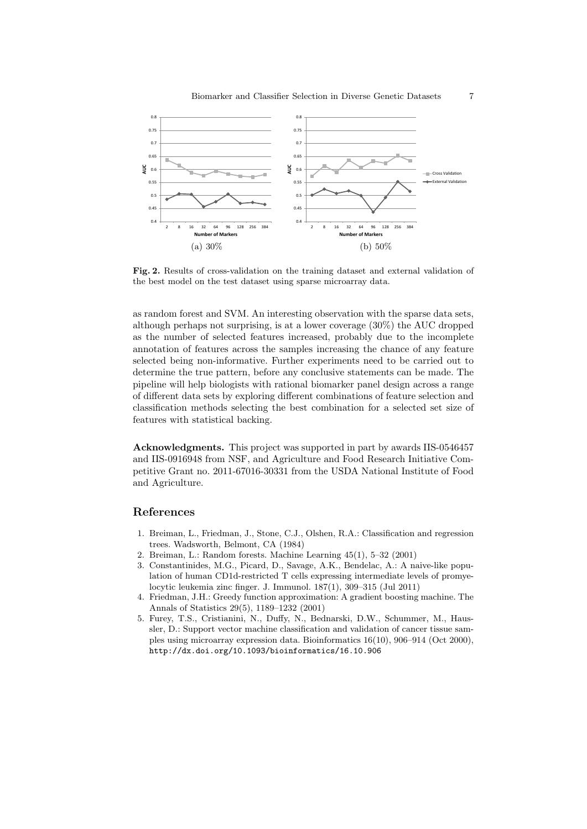

Fig. 2. Results of cross-validation on the training dataset and external validation of the best model on the test dataset using sparse microarray data.

as random forest and SVM. An interesting observation with the sparse data sets, although perhaps not surprising, is at a lower coverage (30%) the AUC dropped as the number of selected features increased, probably due to the incomplete annotation of features across the samples increasing the chance of any feature selected being non-informative. Further experiments need to be carried out to determine the true pattern, before any conclusive statements can be made. The pipeline will help biologists with rational biomarker panel design across a range of different data sets by exploring different combinations of feature selection and classification methods selecting the best combination for a selected set size of features with statistical backing.

Acknowledgments. This project was supported in part by awards IIS-0546457 and IIS-0916948 from NSF, and Agriculture and Food Research Initiative Competitive Grant no. 2011-67016-30331 from the USDA National Institute of Food and Agriculture.

# References

- 1. Breiman, L., Friedman, J., Stone, C.J., Olshen, R.A.: Classification and regression trees. Wadsworth, Belmont, CA (1984)
- 2. Breiman, L.: Random forests. Machine Learning 45(1), 5–32 (2001)
- 3. Constantinides, M.G., Picard, D., Savage, A.K., Bendelac, A.: A naive-like population of human CD1d-restricted T cells expressing intermediate levels of promyelocytic leukemia zinc finger. J. Immunol. 187(1), 309–315 (Jul 2011)
- 4. Friedman, J.H.: Greedy function approximation: A gradient boosting machine. The Annals of Statistics 29(5), 1189–1232 (2001)
- 5. Furey, T.S., Cristianini, N., Duffy, N., Bednarski, D.W., Schummer, M., Haussler, D.: Support vector machine classification and validation of cancer tissue samples using microarray expression data. Bioinformatics 16(10), 906–914 (Oct 2000), http://dx.doi.org/10.1093/bioinformatics/16.10.906